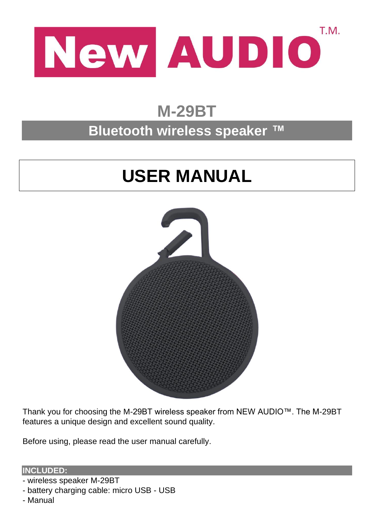

## **M-29BT**

### **Bluetooth wireless speaker ™**

# **USER MANUAL**



Thank you for choosing the M-29BT wireless speaker from NEW AUDIO™. The M-29BT features a unique design and excellent sound quality.

Before using, please read the user manual carefully.

**INCLUDED:**

- wireless speaker M-29BT
- battery charging cable: micro USB USB
- Manual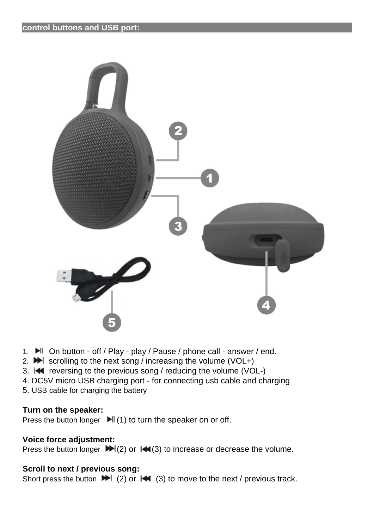

- 1. H On button off / Play play / Pause / phone call answer / end.
- 2.  $\blacktriangleright$  scrolling to the next song / increasing the volume (VOL+)
- 3.  $\blacktriangleleft$  reversing to the previous song / reducing the volume (VOL-)
- 4. DC5V micro USB charging port for connecting usb cable and charging
- 5. USB cable for charging the battery

#### **Turn on the speaker:**

Press the button longer  $\blacktriangleright$  (1) to turn the speaker on or off.

#### **Voice force adjustment:**

Press the button longer  $\blacktriangleright (2)$  or  $\blacktriangleright (3)$  to increase or decrease the volume.

#### **Scroll to next / previous song:**

Short press the button  $\blacktriangleright$  (2) or  $\blacktriangleright$  (3) to move to the next / previous track.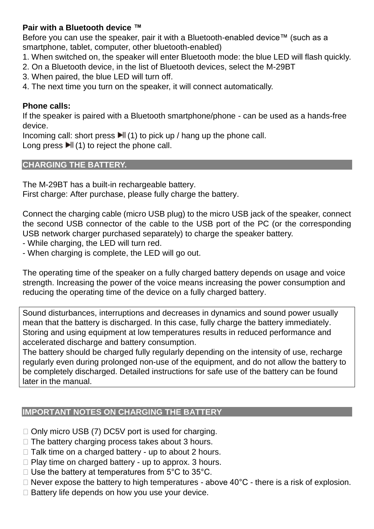#### **Pair with a Bluetooth device ™**

Before you can use the speaker, pair it with a Bluetooth-enabled device™ (such as a smartphone, tablet, computer, other bluetooth-enabled)

- 1. When switched on, the speaker will enter Bluetooth mode: the blue LED will flash quickly.
- 2. On a Bluetooth device, in the list of Bluetooth devices, select the M-29BT
- 3. When paired, the blue LED will turn off.
- 4. The next time you turn on the speaker, it will connect automatically.

#### **Phone calls:**

If the speaker is paired with a Bluetooth smartphone/phone - can be used as a hands-free device.

Incoming call: short press  $\blacktriangleright$  (1) to pick up / hang up the phone call.

Long press  $\blacksquare$  (1) to reject the phone call.

#### **CHARGING THE BATTERY.**

The M-29BT has a built-in rechargeable battery. First charge: After purchase, please fully charge the battery.

Connect the charging cable (micro USB plug) to the micro USB jack of the speaker, connect the second USB connector of the cable to the USB port of the PC (or the corresponding USB network charger purchased separately) to charge the speaker battery.

- While charging, the LED will turn red.

- When charging is complete, the LED will go out.

The operating time of the speaker on a fully charged battery depends on usage and voice strength. Increasing the power of the voice means increasing the power consumption and reducing the operating time of the device on a fully charged battery.

Sound disturbances, interruptions and decreases in dynamics and sound power usually mean that the battery is discharged. In this case, fully charge the battery immediately. Storing and using equipment at low temperatures results in reduced performance and accelerated discharge and battery consumption.

The battery should be charged fully regularly depending on the intensity of use, recharge regularly even during prolonged non-use of the equipment, and do not allow the battery to be completely discharged. Detailed instructions for safe use of the battery can be found later in the manual.

#### **IMPORTANT NOTES ON CHARGING THE BATTERY**

- $\Box$  Only micro USB (7) DC5V port is used for charging.
- $\Box$  The battery charging process takes about 3 hours.
- $\Box$  Talk time on a charged battery up to about 2 hours.
- $\Box$  Play time on charged battery up to approx. 3 hours.
- $\Box$  Use the battery at temperatures from 5°C to 35°C.
- $\Box$  Never expose the battery to high temperatures above 40 $\degree$ C there is a risk of explosion.
- $\Box$  Battery life depends on how you use your device.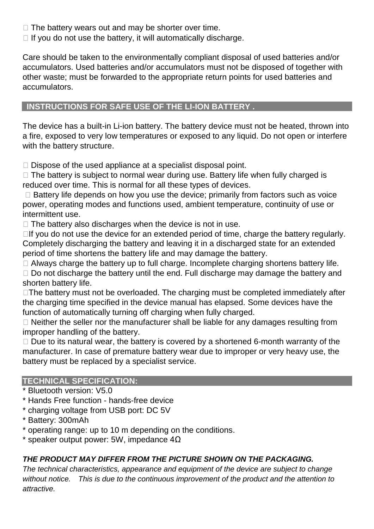- $\Box$  The battery wears out and may be shorter over time.
- $\Box$  If you do not use the battery, it will automatically discharge.

Care should be taken to the environmentally compliant disposal of used batteries and/or accumulators. Used batteries and/or accumulators must not be disposed of together with other waste; must be forwarded to the appropriate return points for used batteries and accumulators.

#### **INSTRUCTIONS FOR SAFE USE OF THE LI-ION BATTERY .**

The device has a built-in Li-ion battery. The battery device must not be heated, thrown into a fire, exposed to very low temperatures or exposed to any liquid. Do not open or interfere with the battery structure.

 $\Box$  Dispose of the used appliance at a specialist disposal point.

 $\Box$  The battery is subject to normal wear during use. Battery life when fully charged is reduced over time. This is normal for all these types of devices.

 $\Box$  Battery life depends on how you use the device; primarily from factors such as voice power, operating modes and functions used, ambient temperature, continuity of use or intermittent use.

 $\Box$  The battery also discharges when the device is not in use.

 $\Box$  If you do not use the device for an extended period of time, charge the battery regularly. Completely discharging the battery and leaving it in a discharged state for an extended period of time shortens the battery life and may damage the battery.

 $\Box$  Always charge the battery up to full charge. Incomplete charging shortens battery life.  $\Box$  Do not discharge the battery until the end. Full discharge may damage the battery and shorten battery life.

 $\Box$  The battery must not be overloaded. The charging must be completed immediately after the charging time specified in the device manual has elapsed. Some devices have the function of automatically turning off charging when fully charged.

 $\Box$  Neither the seller nor the manufacturer shall be liable for any damages resulting from improper handling of the battery.

 $\Box$  Due to its natural wear, the battery is covered by a shortened 6-month warranty of the manufacturer. In case of premature battery wear due to improper or very heavy use, the battery must be replaced by a specialist service.

#### **TECHNICAL SPECIFICATION:**

- \* Bluetooth version: V5.0
- \* Hands Free function hands-free device
- \* charging voltage from USB port: DC 5V
- \* Battery: 300mAh
- \* operating range: up to 10 m depending on the conditions.
- $*$  speaker output power: 5W, impedance  $4\Omega$

#### *THE PRODUCT MAY DIFFER FROM THE PICTURE SHOWN ON THE PACKAGING.*

*The technical characteristics, appearance and equipment of the device are subject to change without notice. This is due to the continuous improvement of the product and the attention to attractive.*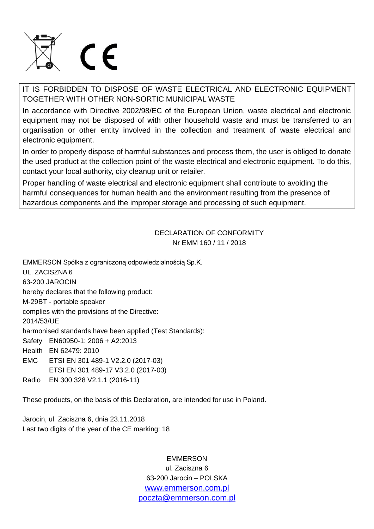

IT IS FORBIDDEN TO DISPOSE OF WASTE ELECTRICAL AND ELECTRONIC EQUIPMENT TOGETHER WITH OTHER NON-SORTIC MUNICIPAL WASTE

In accordance with Directive 2002/98/EC of the European Union, waste electrical and electronic equipment may not be disposed of with other household waste and must be transferred to an organisation or other entity involved in the collection and treatment of waste electrical and electronic equipment.

In order to properly dispose of harmful substances and process them, the user is obliged to donate the used product at the collection point of the waste electrical and electronic equipment. To do this, contact your local authority, city cleanup unit or retailer.

Proper handling of waste electrical and electronic equipment shall contribute to avoiding the harmful consequences for human health and the environment resulting from the presence of hazardous components and the improper storage and processing of such equipment.

> DECLARATION OF CONFORMITY Nr EMM 160 / 11 / 2018

EMMERSON Spółka z ograniczoną odpowiedzialnością Sp.K.

UL. ZACISZNA 6

63-200 JAROCIN

hereby declares that the following product:

M-29BT - portable speaker

complies with the provisions of the Directive:

2014/53/UE

harmonised standards have been applied (Test Standards):

Safety EN60950-1: 2006 + A2:2013

- Health EN 62479: 2010
- EMC ETSI EN 301 489-1 V2.2.0 (2017-03)
- ETSI EN 301 489-17 V3.2.0 (2017-03)
- Radio EN 300 328 V2.1.1 (2016-11)

These products, on the basis of this Declaration, are intended for use in Poland.

Jarocin, ul. Zaciszna 6, dnia 23.11.2018 Last two digits of the year of the CE marking: 18

> EMMERSON ul. Zaciszna 6 63-200 Jarocin – POLSKA [www.emmerson.com.pl](http://www.emmerson.com.pl/) [poczta@emmerson.com.pl](mailto:poczta@emmerson.com.pl)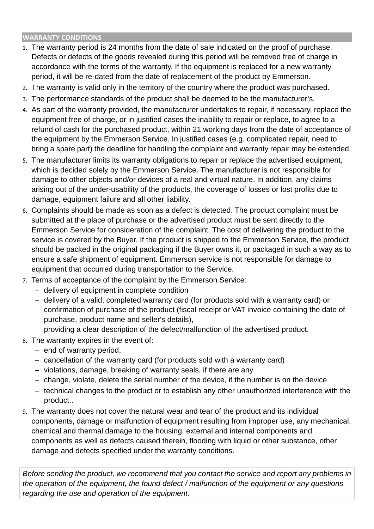#### **WARRANTY CONDITIONS**

- 1. The warranty period is 24 months from the date of sale indicated on the proof of purchase. Defects or defects of the goods revealed during this period will be removed free of charge in accordance with the terms of the warranty. If the equipment is replaced for a new warranty period, it will be re-dated from the date of replacement of the product by Emmerson.
- 2. The warranty is valid only in the territory of the country where the product was purchased.
- 3. The performance standards of the product shall be deemed to be the manufacturer's.
- 4. As part of the warranty provided, the manufacturer undertakes to repair, if necessary, replace the equipment free of charge, or in justified cases the inability to repair or replace, to agree to a refund of cash for the purchased product, within 21 working days from the date of acceptance of the equipment by the Emmerson Service. In justified cases (e.g. complicated repair, need to bring a spare part) the deadline for handling the complaint and warranty repair may be extended.
- 5. The manufacturer limits its warranty obligations to repair or replace the advertised equipment, which is decided solely by the Emmerson Service. The manufacturer is not responsible for damage to other objects and/or devices of a real and virtual nature. In addition, any claims arising out of the under-usability of the products, the coverage of losses or lost profits due to damage, equipment failure and all other liability.
- 6. Complaints should be made as soon as a defect is detected. The product complaint must be submitted at the place of purchase or the advertised product must be sent directly to the Emmerson Service for consideration of the complaint. The cost of delivering the product to the service is covered by the Buyer. If the product is shipped to the Emmerson Service, the product should be packed in the original packaging if the Buyer owns it, or packaged in such a way as to ensure a safe shipment of equipment. Emmerson service is not responsible for damage to equipment that occurred during transportation to the Service.
- 7. Terms of acceptance of the complaint by the Emmerson Service:
	- delivery of equipment in complete condition
	- delivery of a valid, completed warranty card (for products sold with a warranty card) or confirmation of purchase of the product (fiscal receipt or VAT invoice containing the date of purchase, product name and seller's details),
	- providing a clear description of the defect/malfunction of the advertised product.
- 8. The warranty expires in the event of:
	- $-$  end of warranty period.
	- cancellation of the warranty card (for products sold with a warranty card)
	- $-$  violations, damage, breaking of warranty seals, if there are any
	- $-$  change, violate, delete the serial number of the device, if the number is on the device
	- technical changes to the product or to establish any other unauthorized interference with the product..
- 9. The warranty does not cover the natural wear and tear of the product and its individual components, damage or malfunction of equipment resulting from improper use, any mechanical, chemical and thermal damage to the housing, external and internal components and components as well as defects caused therein, flooding with liquid or other substance, other damage and defects specified under the warranty conditions.

*Before sending the product, we recommend that you contact the service and report any problems in the operation of the equipment, the found defect / malfunction of the equipment or any questions regarding the use and operation of the equipment.*